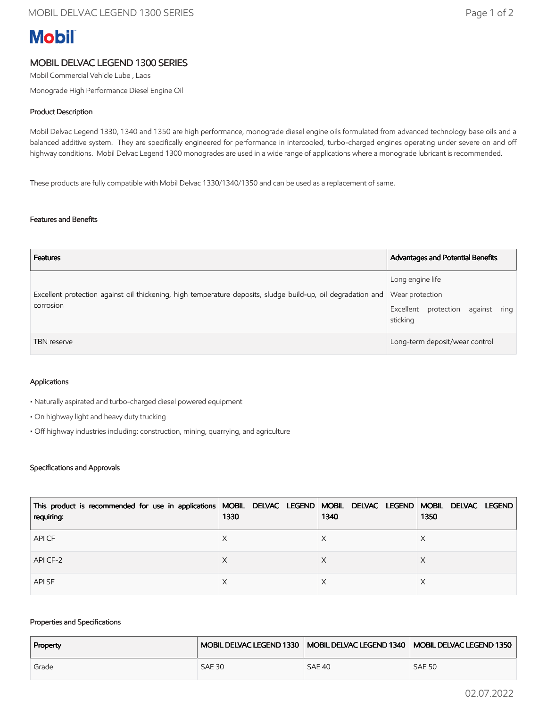# **Mobil**

### MOBIL DELVAC LEGEND 1300 SERIES

Mobil Commercial Vehicle Lube , Laos

Monograde High Performance Diesel Engine Oil

#### Product Description

Mobil Delvac Legend 1330, 1340 and 1350 are high performance, monograde diesel engine oils formulated from advanced technology base oils and a balanced additive system. They are specifically engineered for performance in intercooled, turbo-charged engines operating under severe on and off highway conditions. Mobil Delvac Legend 1300 monogrades are used in a wide range of applications where a monograde lubricant is recommended.

These products are fully compatible with Mobil Delvac 1330/1340/1350 and can be used as a replacement of same.

#### Features and Benefits

| <b>Features</b>                                                                                                                           | Advantages and Potential Benefits                                 |
|-------------------------------------------------------------------------------------------------------------------------------------------|-------------------------------------------------------------------|
| Excellent protection against oil thickening, high temperature deposits, sludge build-up, oil degradation and Wear protection<br>corrosion | Long engine life<br>Excellent protection against ring<br>sticking |
| <b>TBN</b> reserve                                                                                                                        | Long-term deposit/wear control                                    |

#### Applications

• Naturally aspirated and turbo-charged diesel powered equipment

- On highway light and heavy duty trucking
- Off highway industries including: construction, mining, quarrying, and agriculture

#### Specifications and Approvals

| This product is recommended for use in applications   MOBIL DELVAC LEGEND   MOBIL DELVAC LEGEND   MOBIL DELVAC LEGEND<br>requiring: | 1330 | 1340 | 1350 |
|-------------------------------------------------------------------------------------------------------------------------------------|------|------|------|
| API CF                                                                                                                              |      |      | ⋏    |
| API CF-2                                                                                                                            |      |      | X    |
| <b>APISF</b>                                                                                                                        |      |      |      |

#### Properties and Specifications

| Property |               |               | MOBIL DELVAC LEGEND 1330   MOBIL DELVAC LEGEND 1340   MOBIL DELVAC LEGEND 1350 |
|----------|---------------|---------------|--------------------------------------------------------------------------------|
| Grade    | <b>SAE 30</b> | <b>SAE 40</b> | <b>SAE 50</b>                                                                  |